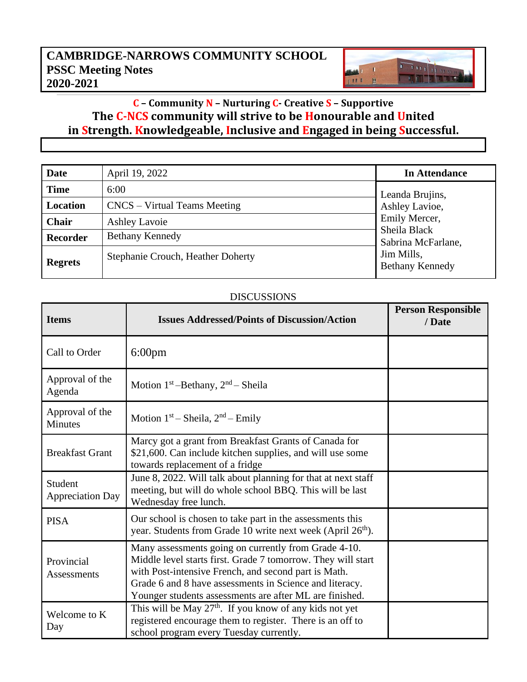## **CAMBRIDGE-NARROWS COMMUNITY SCHOOL PSSC Meeting Notes 2020-2021**

## **C – Community N – Nurturing C- Creative S – Supportive The C-NCS community will strive to be Honourable and United in Strength. Knowledgeable, Inclusive and Engaged in being Successful.**

Thursday

**THEFT** 

1 1

 $1111$  H

| Date            | April 19, 2022                    | In Attendance                                                                                                                    |
|-----------------|-----------------------------------|----------------------------------------------------------------------------------------------------------------------------------|
| <b>Time</b>     | 6:00                              | Leanda Brujins,<br>Ashley Lavioe,<br>Emily Mercer,<br>Sheila Black<br>Sabrina McFarlane,<br>Jim Mills,<br><b>Bethany Kennedy</b> |
| Location        | CNCS – Virtual Teams Meeting      |                                                                                                                                  |
| Chair           | <b>Ashley Lavoie</b>              |                                                                                                                                  |
| <b>Recorder</b> | <b>Bethany Kennedy</b>            |                                                                                                                                  |
| <b>Regrets</b>  | Stephanie Crouch, Heather Doherty |                                                                                                                                  |

## DISCUSSIONS

| <b>Items</b>                       | <b>Issues Addressed/Points of Discussion/Action</b>                                                                                                                                                                                                                                                | <b>Person Responsible</b><br>/ Date |
|------------------------------------|----------------------------------------------------------------------------------------------------------------------------------------------------------------------------------------------------------------------------------------------------------------------------------------------------|-------------------------------------|
| Call to Order                      | $6:00 \text{pm}$                                                                                                                                                                                                                                                                                   |                                     |
| Approval of the<br>Agenda          | Motion $1st$ -Bethany, $2nd$ -Sheila                                                                                                                                                                                                                                                               |                                     |
| Approval of the<br><b>Minutes</b>  | Motion $1st$ – Sheila, $2nd$ – Emily                                                                                                                                                                                                                                                               |                                     |
| <b>Breakfast Grant</b>             | Marcy got a grant from Breakfast Grants of Canada for<br>\$21,600. Can include kitchen supplies, and will use some<br>towards replacement of a fridge                                                                                                                                              |                                     |
| Student<br><b>Appreciation Day</b> | June 8, 2022. Will talk about planning for that at next staff<br>meeting, but will do whole school BBQ. This will be last<br>Wednesday free lunch.                                                                                                                                                 |                                     |
| <b>PISA</b>                        | Our school is chosen to take part in the assessments this<br>year. Students from Grade 10 write next week (April 26 <sup>th</sup> ).                                                                                                                                                               |                                     |
| Provincial<br><b>Assessments</b>   | Many assessments going on currently from Grade 4-10.<br>Middle level starts first. Grade 7 tomorrow. They will start<br>with Post-intensive French, and second part is Math.<br>Grade 6 and 8 have assessments in Science and literacy.<br>Younger students assessments are after ML are finished. |                                     |
| Welcome to K<br>Day                | This will be May $27th$ . If you know of any kids not yet<br>registered encourage them to register. There is an off to<br>school program every Tuesday currently.                                                                                                                                  |                                     |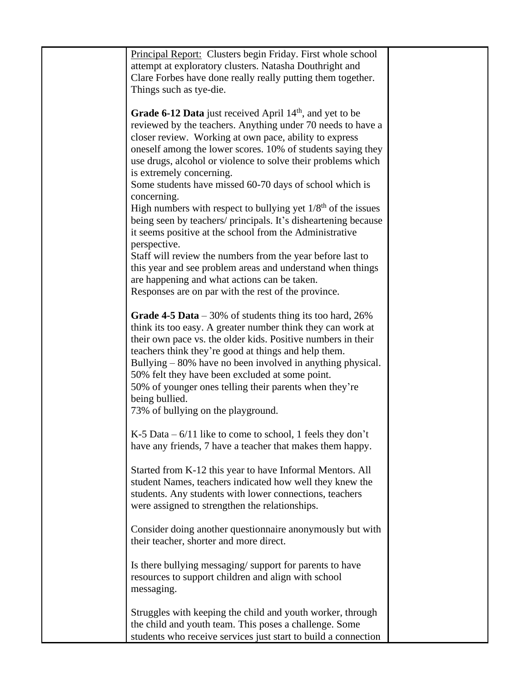| Principal Report: Clusters begin Friday. First whole school       |  |
|-------------------------------------------------------------------|--|
| attempt at exploratory clusters. Natasha Douthright and           |  |
| Clare Forbes have done really really putting them together.       |  |
| Things such as tye-die.                                           |  |
|                                                                   |  |
|                                                                   |  |
| Grade 6-12 Data just received April $14th$ , and yet to be        |  |
| reviewed by the teachers. Anything under 70 needs to have a       |  |
| closer review. Working at own pace, ability to express            |  |
| oneself among the lower scores. 10% of students saying they       |  |
| use drugs, alcohol or violence to solve their problems which      |  |
| is extremely concerning.                                          |  |
| Some students have missed 60-70 days of school which is           |  |
| concerning.                                                       |  |
| High numbers with respect to bullying yet $1/8th$ of the issues   |  |
| being seen by teachers/ principals. It's disheartening because    |  |
| it seems positive at the school from the Administrative           |  |
| perspective.                                                      |  |
| Staff will review the numbers from the year before last to        |  |
| this year and see problem areas and understand when things        |  |
| are happening and what actions can be taken.                      |  |
| Responses are on par with the rest of the province.               |  |
|                                                                   |  |
| <b>Grade 4-5 Data</b> $-30\%$ of students thing its too hard, 26% |  |
| think its too easy. A greater number think they can work at       |  |
| their own pace vs. the older kids. Positive numbers in their      |  |
| teachers think they're good at things and help them.              |  |
| Bullying – 80% have no been involved in anything physical.        |  |
| 50% felt they have been excluded at some point.                   |  |
| 50% of younger ones telling their parents when they're            |  |
| being bullied.                                                    |  |
| 73% of bullying on the playground.                                |  |
| K-5 Data $-6/11$ like to come to school, 1 feels they don't       |  |
| have any friends, 7 have a teacher that makes them happy.         |  |
|                                                                   |  |
| Started from K-12 this year to have Informal Mentors. All         |  |
| student Names, teachers indicated how well they knew the          |  |
| students. Any students with lower connections, teachers           |  |
| were assigned to strengthen the relationships.                    |  |
|                                                                   |  |
| Consider doing another questionnaire anonymously but with         |  |
| their teacher, shorter and more direct.                           |  |
|                                                                   |  |
| Is there bullying messaging/support for parents to have           |  |
| resources to support children and align with school               |  |
| messaging.                                                        |  |
|                                                                   |  |
| Struggles with keeping the child and youth worker, through        |  |
| the child and youth team. This poses a challenge. Some            |  |
| students who receive services just start to build a connection    |  |
|                                                                   |  |